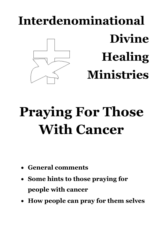# **Interdenominational Divine Healing Ministries**

## **Praying For Those With Cancer**

- **General comments**
- **Some hints to those praying for people with cancer**
- **How people can pray for them selves**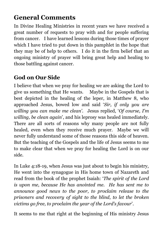## **General Comments**

In Divine Healing Ministries in recent years we have received a great number of requests to pray with and for people suffering from cancer. I have learned lessons during those times of prayer which I have tried to put down in this pamphlet in the hope that they may be of help to others. I do it in the firm belief that an ongoing ministry of prayer will bring great help and healing to those battling against cancer.

### **God on Our Side**

I believe that when we pray for healing we are asking the Lord to give us something that He wants. Maybe in the Gospels that is best depicted in the healing of the leper, in Matthew 8, who approached Jesus, bowed low and said '*Sir, if only you are willing you can make me clean'*. Jesus replied, '*Of course, I'm willing, be clean again*', and his leprosy was healed immediately. There are all sorts of reasons why many people are not fully healed, even when they receive much prayer. Maybe we will never fully understand some of those reasons this side of heaven. But the teaching of the Gospels and the life of Jesus seems to me to make clear that when we pray for healing the Lord is on our side.

In Luke 4:18-19, when Jesus was just about to begin his ministry, He went into the synagogue in His home town of Nazareth and read from the book of the prophet Isaiah: '*The spirit of the Lord is upon me, because He has anointed me. He has sent me to announce good news to the poor, to proclaim release to the prisoners and recovery of sight to the blind, to let the broken victims go free, to proclaim the year of the Lord's favour*'.

It seems to me that right at the beginning of His ministry Jesus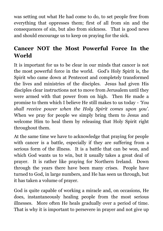was setting out what He had come to do, to set people free from everything that oppresses them; first of all from sin and the consequences of sin, but also from sickness. That is good news and should encourage us to keep on praying for the sick.

### **Cancer NOT the Most Powerful Force In the World**

It is important for us to be clear in our minds that cancer is not the most powerful force in the world. God's Holy Spirit is, the Spirit who came down at Pentecost and completely transformed the lives and ministries of the disciples. Jesus had given His disciples clear instructions not to move from Jerusalem until they were armed with that power from on high. Then He made a promise to them which I believe He still makes to us today - *'You shall receive power when the Holy Spirit comes upon you'*. When we pray for people we simply bring them to Jesus and welcome Him to heal them by releasing that Holy Spirit right throughout them.

At the same time we have to acknowledge that praying for people with cancer is a battle, especially if they are suffering from a serious form of the illness. It is a battle that can be won, and which God wants us to win, but it usually takes a great deal of prayer. It is rather like praying for Northern Ireland. Down through the years there have been many crises. People have turned to God, in large numbers, and He has seen us through, but it has taken a volume of prayer.

God is quite capable of working a miracle and, on occasions, He does, instantaneously healing people from the most serious illnesses. More often He heals gradually over a period of time. That is why it is important to persevere in prayer and not give up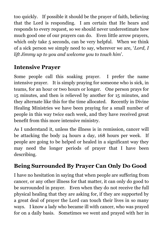too quickly. If possible it should be the prayer of faith, believing that the Lord is responding. I am certain that He hears and responds to every request, so we should never underestimate how much good one of our prayers can do. Even little arrow prayers, which only take 5 seconds, can be very helpful. When we think of a sick person we simply need to say, wherever we are, '*Lord, I lift Jimmy up to you and welcome you to touch him*'.

## **Intensive Prayer**

Some people call this soaking prayer. I prefer the name intensive prayer. It is simply praying for someone who is sick, in teams, for an hour or two hours or longer. One person prays for 15 minutes, and then is relieved by another for 15 minutes, and they alternate like this for the time allocated. Recently in Divine Healing Ministries we have been praying for a small number of people in this way twice each week, and they have received great benefit from this more intensive ministry.

As I understand it, unless the illness is in remission, cancer will be attacking the body 24 hours a day, 168 hours per week. If people are going to be helped or healed in a significant way they may need the longer periods of prayer that I have been describing.

#### **Being Surrounded By Prayer Can Only Do Good**

I have no hesitation in saying that when people are suffering from cancer, or any other illness for that matter, it can only do good to be surrounded in prayer. Even when they do not receive the full physical healing that they are asking for, if they are supported by a great deal of prayer the Lord can touch their lives in so many ways. I know a lady who became ill with cancer, who was prayed for on a daily basis. Sometimes we went and prayed with her in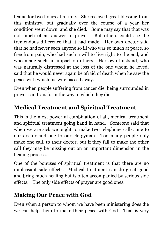teams for two hours at a time. She received great blessing from this ministry, but gradually over the course of a year her condition went down, and she died. Some may say that that was not much of an answer to prayer. But others could see the tremendous difference that it had made. Her own doctor said that he had never seen anyone so ill who was so much at peace, so free from pain, who had such a will to live right to the end, and who made such an impact on others. Her own husband, who was naturally distressed at the loss of the one whom he loved, said that he would never again be afraid of death when he saw the peace with which his wife passed away.

Even when people suffering from cancer die, being surrounded in prayer can transform the way in which they die.

## **Medical Treatment and Spiritual Treatment**

This is the most powerful combination of all, medical treatment and spiritual treatment going hand in hand. Someone said that when we are sick we ought to make two telephone calls, one to our doctor and one to our clergyman. Too many people only make one call, to their doctor, but if they fail to make the other call they may be missing out on an important dimension in the healing process.

One of the bonuses of spiritual treatment is that there are no unpleasant side effects. Medical treatment can do great good and bring much healing but is often accompanied by serious side effects. The only side effects of prayer are good ones.

#### **Making Our Peace with God**

Even when a person to whom we have been ministering does die we can help them to make their peace with God. That is very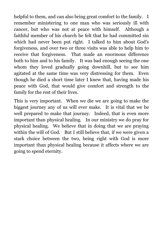helpful to them, and can also bring great comfort to the family. I remember ministering to one man who was seriously ill with cancer, but who was not at peace with himself. Although a faithful member of his church he felt that he had committed sin which had never been put right. I talked to him about God's forgiveness, and over two or three visits was able to help him to receive that forgiveness. That made an enormous difference both to him and to his family. It was bad enough seeing the one whom they loved gradually going downhill, but to see him agitated at the same time was very distressing for them. Even though he died a short time later I knew that, having made his peace with God, that would give comfort and strength to the family for the rest of their lives.

This is very important. When we die we are going to make the biggest journey any of us will ever make. It is vital that we be well prepared to make that journey. Indeed, that is even more important than physical healing. In our ministry we do pray for physical healing. We believe that in doing that we are praying within the will of God. But I still believe that, if we were given a stark choice between the two, being right with God is more important than physical healing because it affects where we are going to spend eternity.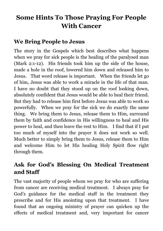## **Some Hints To Those Praying For People With Cancer**

#### **We Bring People to Jesus**

The story in the Gospels which best describes what happens when we pray for sick people is the healing of the paralysed man (Mark 2:1-12). His friends took him up the side of the house, made a hole in the roof, lowered him down and released him to Jesus. That word release is important. When the friends let go of him, Jesus was able to work a miracle in the life of that man. I have no doubt that they stood up on the roof looking down, absolutely confident that Jesus would be able to heal their friend. But they had to release him first before Jesus was able to work so powerfully. When we pray for the sick we do exactly the same thing. We bring them to Jesus, release them to Him, surround them by faith and confidence in His willingness to heal and His power to heal, and then leave the rest to Him. I find that if I put too much of myself into the prayer it does not work so well. Much better to simply bring them to Jesus, release them to Him and welcome Him to let His healing Holy Spirit flow right through them.

#### **Ask for God's Blessing On Medical Treatment and Staff**

The vast majority of people whom we pray for who are suffering from cancer are receiving medical treatment. I always pray for God's guidance for the medical staff in the treatment they prescribe and for His anointing upon that treatment. I have found that an ongoing ministry of prayer can quicken up the effects of medical treatment and, very important for cancer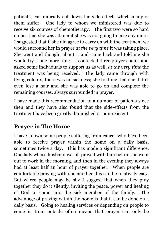patients, can radically cut down the side-effects which many of them suffer. One lady to whom we ministered was due to receive six courses of chemotherapy. The first two were so hard on her that she was adamant she was not going to take any more. I suggested that if she did agree to carry on with the treatment we would surround her in prayer *at the very time* it was taking place. She went and thought about it and came back and told me she would try it one more time. I contacted three prayer chains and asked some individuals to support us as well, *at the very time* the treatment was being received. The lady came through with flying colours, there was no sickness; she told me that she didn't even lose a hair and she was able to go on and complete the remaining courses, always surrounded in prayer.

I have made this recommendation to a number of patients since then and they have also found that the side-effects from the treatment have been greatly diminished or non-existent.

#### **Prayer in The Home**

I have known some people suffering from cancer who have been able to receive prayer within the home on a daily basis, sometimes twice a day. This has made a significant difference. One lady whose husband was ill prayed with him before she went out to work in the morning, and then in the evening they always had at least half an hour of prayer together. When people are comfortable praying with one another this can be relatively easy. But where people may be shy I suggest that when they pray together they do it silently, inviting the peace, power and healing of God to come into the sick member of the family. The advantage of praying within the home is that it can be done on a daily basis. Going to healing services or depending on people to come in from outside often means that prayer can only be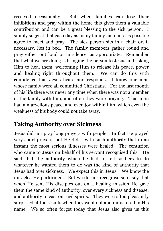received occasionally. But when families can lose their inhibitions and pray within the home this gives them a valuable contribution and can be a great blessing to the sick person. I simply suggest that each day as many family members as possible agree to meet and pray. The sick person sits in a chair or, if necessary, lies in bed. The family members gather round and pray either out loud or in silence, as appropriate. Remember that what we are doing is bringing the person to Jesus and asking Him to heal them, welcoming Him to release his peace, power and healing right throughout them. We can do this with confidence that Jesus hears and responds. I know one man whose family were all committed Christians. For the last month of his life there was never any time when there was not a member of the family with him, and often they were praying. That man had a marvellous peace, and even joy within him, which even the weakness of his body could not take away.

#### **Taking Authority over Sickness**

Jesus did not pray long prayers with people. In fact He prayed very short prayers, but He did it with such authority that in an instant the most serious illnesses were healed. The centurion who came to Jesus on behalf of his servant recognised this. He said that the authority which he had to tell soldiers to do whatever he wanted them to do was the kind of authority that Jesus had over sickness. We expect this in Jesus. We know the miracles He performed. But we do not recognise so easily that when He sent His disciples out on a healing mission He gave them the same kind of authority, over every sickness and disease, and authority to cast out evil spirits. They were often pleasantly surprised at the results when they went out and ministered in His name. We so often forget today that Jesus also gives us this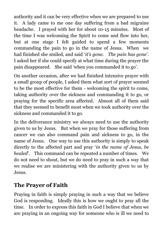authority and it can be very effective when we are prepared to use it. A lady came to me one day suffering from a bad migraine headache. I prayed with her for about 10-15 minutes. Most of the time I was welcoming the Spirit to come and flow into her, but at one stage I felt guided to spend a few moments commanding the pain to go in the name of Jesus. When we had finished she smiled, and said '*it's gone. The pain has gone*'. I asked her if she could specify at what time during the prayer the pain disappeared. She said 'when you commanded it to go'.

On another occasion, after we had finished intensive prayer with a small group of people, I asked them what sort of prayer seemed to be the most effective for them - welcoming the spirit to come, taking authority over the sickness and commanding it to go, or praying for the specific area affected. Almost all of them said that they seemed to benefit most when we took authority over the sickness and commanded it to go.

In the deliverance ministry we always need to use the authority given to us by Jesus. But when we pray for those suffering from cancer we can also command pain and sickness to go, in the name of Jesus. One way to use this authority is simply to speak directly to the affected part and pray '*in the name of Jesus, be healed*'. This command can be repeated a number of times. We do not need to shout, but we do need to pray in such a way that we realise we are ministering with the authority given to us by Jesus.

#### **The Prayer of Faith**

Praying in faith is simply praying in such a way that we believe God is responding. Ideally this is how we ought to pray all the time. In order to express this faith in God I believe that when we are praying in an ongoing way for someone who is ill we need to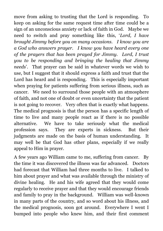move from asking to trusting that the Lord is responding. To keep on asking for the same request time after time could be a sign of an unconscious anxiety or lack of faith in God. Maybe we need to switch and pray something like this, '*Lord, I have brought Jimmy before you on many occasions. I know you are a God who answers prayer. I know you have heard every one of the prayers that has been prayed for Jimmy. Lord, I trust you to be responding and bringing the healing that Jimmy needs*'. That prayer can be said in whatever words we wish to use, but I suggest that it should express a faith and trust that the Lord has heard and is responding. This is especially important when praying for patients suffering from serious illness, such as cancer. We need to surround those people with an atmosphere of faith, and not one of doubt or even uncertainty that the patient is not going to recover. Very often that is exactly what happens. The medical prognosis is that the person has a specific length of time to live and many people react as if there is no possible alternative. We have to take seriously what the medical profession says. They are experts in sickness. But their judgments are made on the basis of human understanding. It may well be that God has other plans, especially if we really appeal to Him in prayer.

A few years ago William came to me, suffering from cancer. By the time it was discovered the illness was far advanced. Doctors had forecast that William had three months to live. I talked to him about prayer and what was available through the ministry of divine healing. He and his wife agreed that they would come regularly to receive prayer and that they would encourage friends and family to pray in the background. William was well-known in many parts of the country, and so word about his illness, and the medical prognosis, soon got around. Everywhere I went I bumped into people who knew him, and their first comment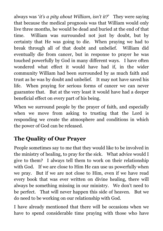always was '*it's a pity about William, isn't it?*' They were saying that because the medical prognosis was that William would only live three months, he would be dead and buried at the end of that time. William was surrounded not just by doubt, but by certainty that He was going to die. When praying we had to break through all of that doubt and unbelief. William did eventually die from cancer, but in response to prayer he was touched powerfully by God in many different ways. I have often wondered what effect it would have had if, in the wider community William had been surrounded by as much faith and trust as he was by doubt and unbelief. It may not have saved his life. When praying for serious forms of cancer we can never guarantee that. But at the very least it would have had a deeper beneficial effect on every part of his being.

When we surround people by the prayer of faith, and especially when we move from asking to trusting that the Lord is responding we create the atmosphere and conditions in which the power of God can be released.

### **The Quality of Our Prayer**

People sometimes say to me that they would like to be involved in the ministry of healing, to pray for the sick. What advice would I give to them? I always tell them to work on their relationship with God. If we are close to Him He can use us powerfully when we pray. But if we are not close to Him, even if we have read every book that was ever written on divine healing, there will always be something missing in our ministry. We don't need to be perfect. That will never happen this side of heaven. But we do need to be working on our relationship with God.

I have already mentioned that there will be occasions when we have to spend considerable time praying with those who have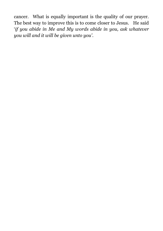cancer. What is equally important is the quality of our prayer. The best way to improve this is to come closer to Jesus. He said '*if you abide in Me and My words abide in you, ask whatever you will and it will be given unto you'*.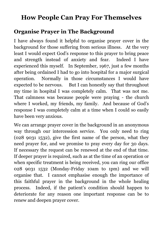## **How People Can Pray For Themselves**

#### **Organise Prayer in The Background**

I have always found it helpful to organise prayer cover in the background for those suffering from serious illness. At the very least I would expect God's response to this prayer to bring peace and strength instead of anxiety and fear. Indeed I have experienced this myself. In September, 1967, just a few months after being ordained I had to go into hospital for a major surgical operation. Normally in those circumstances I would have expected to be nervous. But I can honestly say that throughout my time in hospital I was completely calm. That was not me. That calmness was because people were praying - the church where I worked, my friends, my family. And because of God's response I was completely calm at a time when I could so easily have been very anxious.

We can arrange prayer cover in the background in an anonymous way through our intercession service. You only need to ring (028 9031 1532), give the first name of the person, what they need prayer for, and we promise to pray every day for 30 days. If necessary the request can be renewed at the end of that time. If deeper prayer is required, such as at the time of an operation or when specific treatment is being received, you can ring our office 028 9031 1532 (Monday-Friday 10am to 1pm) and we will organise that. I cannot emphasise enough the importance of this faithful prayer in the background in the whole healing process. Indeed, if the patient's condition should happen to deteriorate for any reason one important response can be to renew and deepen prayer cover.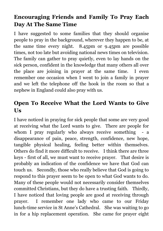#### **Encouraging Friends and Family To Pray Each Day At The Same Time**

I have suggested to some families that they should organise people to pray in the background, wherever they happen to be, at the same time every night. 8.45pm or 9.45pm are possible times, not too late but avoiding national news times on television. The family can gather to pray quietly, even to lay hands on the sick person, confident in the knowledge that many others all over the place are joining in prayer at the same time. I even remember one occasion when I went to join a family in prayer and we left the telephone off the hook in the room so that a nephew in England could also pray with us.

#### **Open To Receive What the Lord Wants to Give Us**

I have noticed in praying for sick people that some are very good at receiving what the Lord wants to give. There are people for whom I pray regularly who always receive something - a disappearance of pain, peace, strength, confidence, new hope, tangible physical healing, feeling better within themselves. Others do find it more difficult to receive. I think there are three keys - first of all, we must want to receive prayer. That desire is probably an indication of the confidence we have that God can touch us. Secondly, those who really believe that God is going to respond to this prayer seem to be open to what God wants to do. Many of these people would not necessarily consider themselves committed Christians, but they do have a trusting faith. Thirdly, I have noticed that loving people are good at receiving through prayer. I remember one lady who came to our Friday lunch-time service in St Anne's Cathedral. She was waiting to go in for a hip replacement operation. She came for prayer eight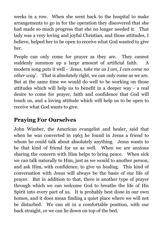weeks in a row. When she went back to the hospital to make arrangements to go in for the operation they discovered that she had made so much progress that she no longer needed it. That lady was a very loving and joyful Christian, and those attitudes, I believe, helped her to be open to receive what God wanted to give her.

People can only come for prayer as they are. They cannot suddenly summon up a large amount of artificial faith. A modern song puts it well - *'Jesus, take me as I am, I can come no other way*'. That is absolutely right, we can only come as we are. But at the same time we would do well to be working on those attitudes which will help us to benefit in a deeper way - a real desire to come for prayer, faith and confidence that God will touch us, and a loving attitude which will help us to be open to receive what God wants to give.

#### **Praying For Ourselves**

John Wimber, the American evangelist and healer, said that when he was converted in 1963 he found in Jesus a friend to whom he could talk about absolutely anything. Jesus wants to be that kind of friend for us as well. When we are anxious sharing the concern with Him helps to bring peace. When sick we can talk naturally to Him, just as we would to another person, and ask Him, with confidence, to give us healing. This kind of conversation with Jesus will always be the basis of our life of prayer. But in addition to that, there is another type of prayer through which we can welcome God to breathe the life of His Spirit into every part of us. It is probably best done in our own homes, and it does mean finding a quiet place where we will not be disturbed. We can sit in a comfortable position, with our back straight, or we can lie down on top of the bed.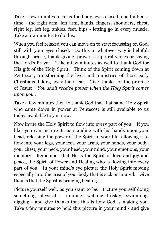Take a few minutes to relax the body, eyes closed, one limb at a time - the right arm, left arm, hands, fingers, shoulders, chest, right leg, left leg, ankles, feet, hips - letting go in every muscle. Take a few minutes to do this.

When you feel relaxed you can move on to start focussing on God, still with your eyes closed. Do this in whatever way is helpful, through praise, thanksgiving, prayer, scriptural verses or saying the Lord's Prayer. Take a few minutes as well to thank God for His gift of the Holy Spirit. Think of the Spirit coming down at Pentecost, transforming the lives and ministries of those early Christians, taking away their fear. Give thanks for the promise of Jesus: '*You shall receive power when the Holy Spirit comes upon you*'.

Take a few minutes then to thank God that that same Holy Spirit who came down in power at Pentecost is still available to us today, available to you now.

Now invite the Holy Spirit to flow into every part of you. If you like, you can picture Jesus standing with his hands upon your head, releasing the power of the Spirit in your life; allowing it to flow into your legs, your feet, your arms, your hands, your body, your chest, your neck, your head, your mind, your emotions, your memory. Remember that He is the Spirit of love and joy and peace, the Spirit of Power and Healing who is flowing into every part of you. In your mind's eye picture the Holy Spirit moving especially into the area of your body that is sick or injured. Give thanks that the Spirit is bringing healing.

Picture yourself well, as you want to be. Picture yourself doing something physical - running, walking briskly, swimming, digging - and give thanks that this is how God is making you. Take a few minutes to hold this picture in your mind - and give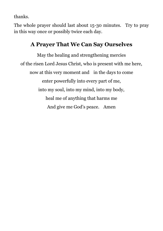thanks.

The whole prayer should last about 15-30 minutes. Try to pray in this way once or possibly twice each day.

#### **A Prayer That We Can Say Ourselves**

May the healing and strengthening mercies of the risen Lord Jesus Christ, who is present with me here, now at this very moment and in the days to come enter powerfully into every part of me, into my soul, into my mind, into my body, heal me of anything that harms me And give me God's peace. Amen